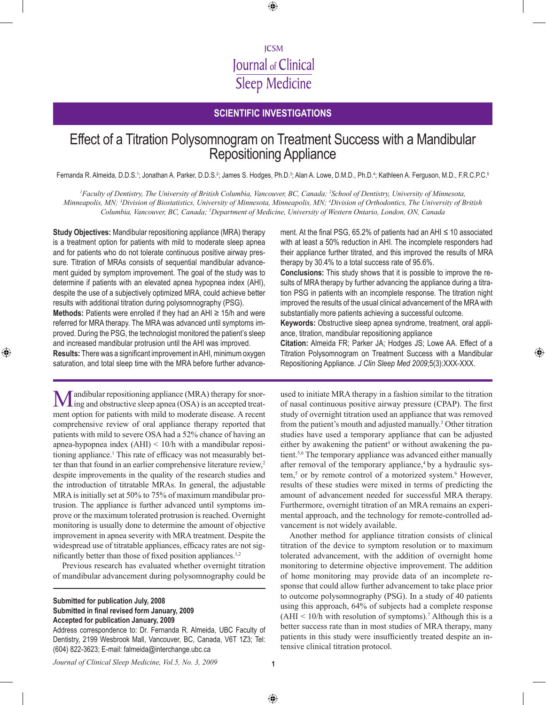# **ICSM** Journal of Clinical **Sleep Medicine**

⊕

## **Scientific investigations**

# Effect of a Titration Polysomnogram on Treatment Success with a Mandibular Repositioning Appliance

Fernanda R. Almeida, D.D.S.1; Jonathan A. Parker, D.D.S.<sup>2</sup>; James S. Hodges, Ph.D.3; Alan A. Lowe, D.M.D., Ph.D.<sup>4</sup>; Kathleen A. Ferguson, M.D., F.R.C.P.C.<sup>s</sup>

*1 Faculty of Dentistry, The University of British Columbia, Vancouver, BC, Canada; 2 School of Dentistry, University of Minnesota, Minneapolis, MN; 3 Division of Biostatistics, University of Minnesota, Minneapolis, MN; 4 Division of Orthodontics, The University of British Columbia, Vancouver, BC, Canada; 5 Department of Medicine, University of Western Ontario, London, ON, Canada*

**Study Objectives:** Mandibular repositioning appliance (MRA) therapy is a treatment option for patients with mild to moderate sleep apnea and for patients who do not tolerate continuous positive airway pressure. Titration of MRAs consists of sequential mandibular advancement guided by symptom improvement. The goal of the study was to determine if patients with an elevated apnea hypopnea index (AHI), despite the use of a subjectively optimized MRA, could achieve better results with additional titration during polysomnography (PSG). **Methods:** Patients were enrolled if they had an AHI ≥ 15/h and were referred for MRA therapy. The MRA was advanced until symptoms improved. During the PSG, the technologist monitored the patient's sleep and increased mandibular protrusion until the AHI was improved. **Results:** There was a significant improvement in AHI, minimum oxygen saturation, and total sleep time with the MRA before further advance-

⊕

Mandibular repositioning appliance (MRA) therapy for snor-ing and obstructive sleep apnea (OSA) is an accepted treatment option for patients with mild to moderate disease. A recent comprehensive review of oral appliance therapy reported that patients with mild to severe OSA had a 52% chance of having an apnea-hypopnea index (AHI) < 10/h with a mandibular repositioning appliance.<sup>1</sup> This rate of efficacy was not measurably better than that found in an earlier comprehensive literature review, $2$ despite improvements in the quality of the research studies and the introduction of titratable MRAs. In general, the adjustable MRA is initially set at 50% to 75% of maximum mandibular protrusion. The appliance is further advanced until symptoms improve or the maximum tolerated protrusion is reached. Overnight monitoring is usually done to determine the amount of objective improvement in apnea severity with MRA treatment. Despite the widespread use of titratable appliances, efficacy rates are not significantly better than those of fixed position appliances.<sup>1,2</sup>

Previous research has evaluated whether overnight titration of mandibular advancement during polysomnography could be

#### **Submitted for publication July, 2008 Submitted in final revised form January, 2009 Accepted for publication January, 2009**

Address correspondence to: Dr. Fernanda R. Almeida, UBC Faculty of Dentistry, 2199 Wesbrook Mall, Vancouver, BC, Canada, V6T 1Z3; Tel: (604) 822-3623; E-mail: falmeida@interchange.ubc.ca

ment. At the final PSG, 65.2% of patients had an AHI  $\leq$  10 associated with at least a 50% reduction in AHI. The incomplete responders had their appliance further titrated, and this improved the results of MRA therapy by 30.4% to a total success rate of 95.6%.

**Conclusions:** This study shows that it is possible to improve the results of MRA therapy by further advancing the appliance during a titration PSG in patients with an incomplete response. The titration night improved the results of the usual clinical advancement of the MRA with substantially more patients achieving a successful outcome.

**Keywords:** Obstructive sleep apnea syndrome, treatment, oral appliance, titration, mandibular repositioning appliance

**Citation:** Almeida FR; Parker JA; Hodges JS; Lowe AA. Effect of a Titration Polysomnogram on Treatment Success with a Mandibular Repositioning Appliance. *J Clin Sleep Med 2009*;5(3):XXX-XXX.

⊕

used to initiate MRA therapy in a fashion similar to the titration of nasal continuous positive airway pressure (CPAP). The first study of overnight titration used an appliance that was removed from the patient's mouth and adjusted manually.<sup>3</sup> Other titration studies have used a temporary appliance that can be adjusted either by awakening the patient<sup>4</sup> or without awakening the patient.5,6 The temporary appliance was advanced either manually after removal of the temporary appliance,<sup>4</sup> by a hydraulic system,<sup>5</sup> or by remote control of a motorized system.<sup>6</sup> However, results of these studies were mixed in terms of predicting the amount of advancement needed for successful MRA therapy. Furthermore, overnight titration of an MRA remains an experimental approach, and the technology for remote-controlled advancement is not widely available.

Another method for appliance titration consists of clinical titration of the device to symptom resolution or to maximum tolerated advancement, with the addition of overnight home monitoring to determine objective improvement. The addition of home monitoring may provide data of an incomplete response that could allow further advancement to take place prior to outcome polysomnography (PSG). In a study of 40 patients using this approach, 64% of subjects had a complete response  $(AHI < 10/h$  with resolution of symptoms).<sup>7</sup> Although this is a better success rate than in most studies of MRA therapy, many patients in this study were insufficiently treated despite an intensive clinical titration protocol.

*Journal of Clinical Sleep Medicine, Vol.5, No. 3, 2009* **1**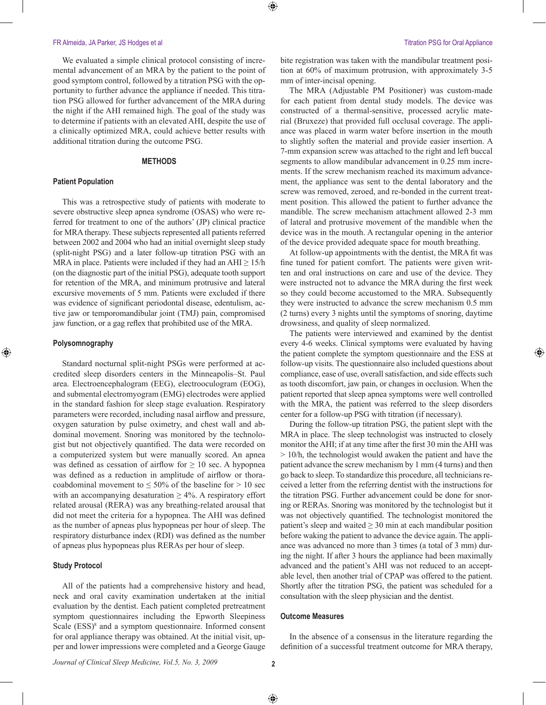We evaluated a simple clinical protocol consisting of incremental advancement of an MRA by the patient to the point of good symptom control, followed by a titration PSG with the opportunity to further advance the appliance if needed. This titration PSG allowed for further advancement of the MRA during the night if the AHI remained high. The goal of the study was to determine if patients with an elevated AHI, despite the use of a clinically optimized MRA, could achieve better results with additional titration during the outcome PSG.

#### **METHODS**

#### **Patient Population**

This was a retrospective study of patients with moderate to severe obstructive sleep apnea syndrome (OSAS) who were referred for treatment to one of the authors' (JP) clinical practice for MRA therapy. These subjects represented all patients referred between 2002 and 2004 who had an initial overnight sleep study (split-night PSG) and a later follow-up titration PSG with an MRA in place. Patients were included if they had an  $AHI \geq 15/h$ (on the diagnostic part of the initial PSG), adequate tooth support for retention of the MRA, and minimum protrusive and lateral excursive movements of 5 mm. Patients were excluded if there was evidence of significant periodontal disease, edentulism, active jaw or temporomandibular joint (TMJ) pain, compromised jaw function, or a gag reflex that prohibited use of the MRA.

#### **Polysomnography**

⊕

Standard nocturnal split-night PSGs were performed at accredited sleep disorders centers in the Minneapolis–St. Paul area. Electroencephalogram (EEG), electrooculogram (EOG), and submental electromyogram (EMG) electrodes were applied in the standard fashion for sleep stage evaluation. Respiratory parameters were recorded, including nasal airflow and pressure, oxygen saturation by pulse oximetry, and chest wall and abdominal movement. Snoring was monitored by the technologist but not objectively quantified. The data were recorded on a computerized system but were manually scored. An apnea was defined as cessation of airflow for  $\geq 10$  sec. A hypopnea was defined as a reduction in amplitude of airflow or thoracoabdominal movement to  $\leq 50\%$  of the baseline for  $> 10$  sec with an accompanying desaturation  $\geq 4\%$ . A respiratory effort related arousal (RERA) was any breathing-related arousal that did not meet the criteria for a hypopnea. The AHI was defined as the number of apneas plus hypopneas per hour of sleep. The respiratory disturbance index (RDI) was defined as the number of apneas plus hypopneas plus RERAs per hour of sleep.

#### **Study Protocol**

All of the patients had a comprehensive history and head, neck and oral cavity examination undertaken at the initial evaluation by the dentist. Each patient completed pretreatment symptom questionnaires including the Epworth Sleepiness Scale (ESS)<sup>8</sup> and a symptom questionnaire. Informed consent for oral appliance therapy was obtained. At the initial visit, upper and lower impressions were completed and a George Gauge

⊕

bite registration was taken with the mandibular treatment position at 60% of maximum protrusion, with approximately 3-5 mm of inter-incisal opening.

⊕

The MRA (Adjustable PM Positioner) was custom-made for each patient from dental study models. The device was constructed of a thermal-sensitive, processed acrylic material (Bruxeze) that provided full occlusal coverage. The appliance was placed in warm water before insertion in the mouth to slightly soften the material and provide easier insertion. A 7-mm expansion screw was attached to the right and left buccal segments to allow mandibular advancement in 0.25 mm increments. If the screw mechanism reached its maximum advancement, the appliance was sent to the dental laboratory and the screw was removed, zeroed, and re-bonded in the current treatment position. This allowed the patient to further advance the mandible. The screw mechanism attachment allowed 2-3 mm of lateral and protrusive movement of the mandible when the device was in the mouth. A rectangular opening in the anterior of the device provided adequate space for mouth breathing.

At follow-up appointments with the dentist, the MRA fit was fine tuned for patient comfort. The patients were given written and oral instructions on care and use of the device. They were instructed not to advance the MRA during the first week so they could become accustomed to the MRA. Subsequently they were instructed to advance the screw mechanism 0.5 mm (2 turns) every 3 nights until the symptoms of snoring, daytime drowsiness, and quality of sleep normalized.

The patients were interviewed and examined by the dentist every 4-6 weeks. Clinical symptoms were evaluated by having the patient complete the symptom questionnaire and the ESS at follow-up visits. The questionnaire also included questions about compliance, ease of use, overall satisfaction, and side effects such as tooth discomfort, jaw pain, or changes in occlusion. When the patient reported that sleep apnea symptoms were well controlled with the MRA, the patient was referred to the sleep disorders center for a follow-up PSG with titration (if necessary).

During the follow-up titration PSG, the patient slept with the MRA in place. The sleep technologist was instructed to closely monitor the AHI; if at any time after the first 30 min the AHI was > 10/h, the technologist would awaken the patient and have the patient advance the screw mechanism by 1 mm (4 turns) and then go back to sleep. To standardize this procedure, all technicians received a letter from the referring dentist with the instructions for the titration PSG. Further advancement could be done for snoring or RERAs. Snoring was monitored by the technologist but it was not objectively quantified. The technologist monitored the patient's sleep and waited  $\geq$  30 min at each mandibular position before waking the patient to advance the device again. The appliance was advanced no more than 3 times (a total of 3 mm) during the night. If after 3 hours the appliance had been maximally advanced and the patient's AHI was not reduced to an acceptable level, then another trial of CPAP was offered to the patient. Shortly after the titration PSG, the patient was scheduled for a consultation with the sleep physician and the dentist.

### **Outcome Measures**

In the absence of a consensus in the literature regarding the definition of a successful treatment outcome for MRA therapy,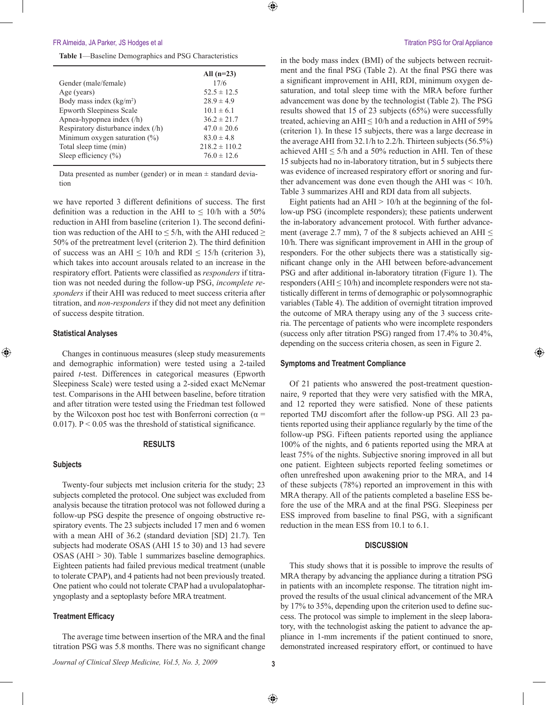**Table 1**—Baseline Demographics and PSG Characteristics

|                                    | All $(n=23)$      |
|------------------------------------|-------------------|
| Gender (male/female)               | 17/6              |
| Age (years)                        | $52.5 \pm 12.5$   |
| Body mass index $(kg/m2)$          | $28.9 \pm 4.9$    |
| <b>Epworth Sleepiness Scale</b>    | $10.1 \pm 6.1$    |
| Apnea-hypopnea index (/h)          | $36.2 \pm 21.7$   |
| Respiratory disturbance index (/h) | $47.0 \pm 20.6$   |
| Minimum oxygen saturation $(\%)$   | $83.0 \pm 4.8$    |
| Total sleep time (min)             | $218.2 \pm 110.2$ |
| Sleep efficiency $(\% )$           | $76.0 \pm 12.6$   |
|                                    |                   |

Data presented as number (gender) or in mean  $\pm$  standard deviation

we have reported 3 different definitions of success. The first definition was a reduction in the AHI to  $\leq 10/h$  with a 50% reduction in AHI from baseline (criterion 1). The second definition was reduction of the AHI to  $\leq$  5/h, with the AHI reduced  $\geq$ 50% of the pretreatment level (criterion 2). The third definition of success was an AHI  $\leq 10/h$  and RDI  $\leq 15/h$  (criterion 3), which takes into account arousals related to an increase in the respiratory effort. Patients were classified as *responders* if titration was not needed during the follow-up PSG, *incomplete responders* if their AHI was reduced to meet success criteria after titration, and *non-responders* if they did not meet any definition of success despite titration.

#### **Statistical Analyses**

⊕

Changes in continuous measures (sleep study measurements and demographic information) were tested using a 2-tailed paired *t*-test. Differences in categorical measures (Epworth Sleepiness Scale) were tested using a 2-sided exact McNemar test. Comparisons in the AHI between baseline, before titration and after titration were tested using the Friedman test followed by the Wilcoxon post hoc test with Bonferroni correction ( $\alpha$  = 0.017).  $P < 0.05$  was the threshold of statistical significance.

#### **RESULTS**

#### **Subjects**

Twenty-four subjects met inclusion criteria for the study; 23 subjects completed the protocol. One subject was excluded from analysis because the titration protocol was not followed during a follow-up PSG despite the presence of ongoing obstructive respiratory events. The 23 subjects included 17 men and 6 women with a mean AHI of 36.2 (standard deviation [SD] 21.7). Ten subjects had moderate OSAS (AHI 15 to 30) and 13 had severe OSAS (AHI > 30). Table 1 summarizes baseline demographics. Eighteen patients had failed previous medical treatment (unable to tolerate CPAP), and 4 patients had not been previously treated. One patient who could not tolerate CPAP had a uvulopalatopharyngoplasty and a septoplasty before MRA treatment.

### **Treatment Efficacy**

The average time between insertion of the MRA and the final titration PSG was 5.8 months. There was no significant change in the body mass index (BMI) of the subjects between recruitment and the final PSG (Table 2). At the final PSG there was a significant improvement in AHI, RDI, minimum oxygen desaturation, and total sleep time with the MRA before further advancement was done by the technologist (Table 2). The PSG results showed that 15 of 23 subjects (65%) were successfully treated, achieving an AHI  $\leq 10/h$  and a reduction in AHI of 59% (criterion 1). In these 15 subjects, there was a large decrease in the average AHI from 32.1/h to 2.2/h. Thirteen subjects (56.5%) achieved AHI  $\leq$  5/h and a 50% reduction in AHI. Ten of these 15 subjects had no in-laboratory titration, but in 5 subjects there was evidence of increased respiratory effort or snoring and further advancement was done even though the AHI was < 10/h. Table 3 summarizes AHI and RDI data from all subjects.

Eight patients had an  $AHI > 10/h$  at the beginning of the follow-up PSG (incomplete responders); these patients underwent the in-laboratory advancement protocol. With further advancement (average 2.7 mm), 7 of the 8 subjects achieved an AHI  $\leq$ 10/h. There was significant improvement in AHI in the group of responders. For the other subjects there was a statistically significant change only in the AHI between before-advancement PSG and after additional in-laboratory titration (Figure 1). The responders ( $AHI \leq 10/h$ ) and incomplete responders were not statistically different in terms of demographic or polysomnographic variables (Table 4). The addition of overnight titration improved the outcome of MRA therapy using any of the 3 success criteria. The percentage of patients who were incomplete responders (success only after titration PSG) ranged from 17.4% to 30.4%, depending on the success criteria chosen, as seen in Figure 2.

⊕

#### **Symptoms and Treatment Compliance**

Of 21 patients who answered the post-treatment questionnaire, 9 reported that they were very satisfied with the MRA, and 12 reported they were satisfied. None of these patients reported TMJ discomfort after the follow-up PSG. All 23 patients reported using their appliance regularly by the time of the follow-up PSG. Fifteen patients reported using the appliance 100% of the nights, and 6 patients reported using the MRA at least 75% of the nights. Subjective snoring improved in all but one patient. Eighteen subjects reported feeling sometimes or often unrefreshed upon awakening prior to the MRA, and 14 of these subjects (78%) reported an improvement in this with MRA therapy. All of the patients completed a baseline ESS before the use of the MRA and at the final PSG. Sleepiness per ESS improved from baseline to final PSG, with a significant reduction in the mean ESS from 10.1 to 6.1.

#### **DISCUSSION**

This study shows that it is possible to improve the results of MRA therapy by advancing the appliance during a titration PSG in patients with an incomplete response. The titration night improved the results of the usual clinical advancement of the MRA by 17% to 35%, depending upon the criterion used to define success. The protocol was simple to implement in the sleep laboratory, with the technologist asking the patient to advance the appliance in 1-mm increments if the patient continued to snore, demonstrated increased respiratory effort, or continued to have

*Journal of Clinical Sleep Medicine, Vol.5, No. 3, 2009* **3**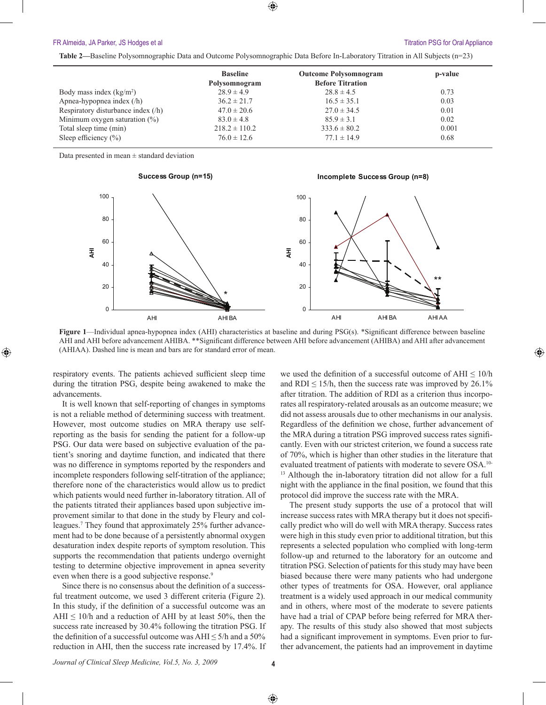### FR Almeida, JA Parker, JS Hodges et al **Titration PSG for Oral Appliance Titration PSG for Oral Appliance**

⊕

**Table 2—**Baseline Polysomnographic Data and Outcome Polysomnographic Data Before In-Laboratory Titration in All Subjects (n=23)

| <b>Baseline</b><br>Polysomnogram<br>$28.9 \pm 4.9$ | <b>Outcome Polysomnogram</b><br><b>Before Titration</b><br>$28.8 \pm 4.5$ | p-value |
|----------------------------------------------------|---------------------------------------------------------------------------|---------|
|                                                    |                                                                           |         |
|                                                    |                                                                           | 0.73    |
| $36.2 \pm 21.7$                                    | $16.5 \pm 35.1$                                                           | 0.03    |
| $47.0 \pm 20.6$                                    | $27.0 \pm 34.5$                                                           | 0.01    |
| $83.0 \pm 4.8$                                     | $85.9 \pm 3.1$                                                            | 0.02    |
|                                                    | $333.6 \pm 80.2$                                                          | 0.001   |
| $76.0 \pm 12.6$                                    | $77.1 \pm 14.9$                                                           | 0.68    |
|                                                    | $218.2 \pm 110.2$                                                         |         |

Data presented in mean  $\pm$  standard deviation

⊕



**Figure 1**—Individual apnea-hypopnea index (AHI) characteristics at baseline and during PSG(s). \*Significant difference between baseline AHI and AHI before advancement AHIBA. \*\*Significant difference between AHI before advancement (AHIBA) and AHI after advancement (AHIAA). Dashed line is mean and bars are for standard error of mean.

respiratory events. The patients achieved sufficient sleep time during the titration PSG, despite being awakened to make the advancements.

It is well known that self-reporting of changes in symptoms is not a reliable method of determining success with treatment. However, most outcome studies on MRA therapy use selfreporting as the basis for sending the patient for a follow-up PSG. Our data were based on subjective evaluation of the patient's snoring and daytime function, and indicated that there was no difference in symptoms reported by the responders and incomplete responders following self-titration of the appliance; therefore none of the characteristics would allow us to predict which patients would need further in-laboratory titration. All of the patients titrated their appliances based upon subjective improvement similar to that done in the study by Fleury and colleagues.<sup>7</sup> They found that approximately 25% further advancement had to be done because of a persistently abnormal oxygen desaturation index despite reports of symptom resolution. This supports the recommendation that patients undergo overnight testing to determine objective improvement in apnea severity even when there is a good subjective response.<sup>9</sup>

Since there is no consensus about the definition of a successful treatment outcome, we used 3 different criteria (Figure 2). In this study, if the definition of a successful outcome was an AHI  $\leq$  10/h and a reduction of AHI by at least 50%, then the success rate increased by 30.4% following the titration PSG. If the definition of a successful outcome was AHI  $\leq$  5/h and a 50% reduction in AHI, then the success rate increased by 17.4%. If we used the definition of a successful outcome of  $AHI \leq 10/h$ and RDI  $\leq$  15/h, then the success rate was improved by 26.1% after titration. The addition of RDI as a criterion thus incorporates all respiratory-related arousals as an outcome measure; we did not assess arousals due to other mechanisms in our analysis. Regardless of the definition we chose, further advancement of the MRA during a titration PSG improved success rates significantly. Even with our strictest criterion, we found a success rate of 70%, which is higher than other studies in the literature that evaluated treatment of patients with moderate to severe OSA.10- <sup>13</sup> Although the in-laboratory titration did not allow for a full night with the appliance in the final position, we found that this protocol did improve the success rate with the MRA.

The present study supports the use of a protocol that will increase success rates with MRA therapy but it does not specifically predict who will do well with MRA therapy. Success rates were high in this study even prior to additional titration, but this represents a selected population who complied with long-term follow-up and returned to the laboratory for an outcome and titration PSG. Selection of patients for this study may have been biased because there were many patients who had undergone other types of treatments for OSA. However, oral appliance treatment is a widely used approach in our medical community and in others, where most of the moderate to severe patients have had a trial of CPAP before being referred for MRA therapy. The results of this study also showed that most subjects had a significant improvement in symptoms. Even prior to further advancement, the patients had an improvement in daytime

*Journal of Clinical Sleep Medicine, Vol.5, No. 3, 2009* **4**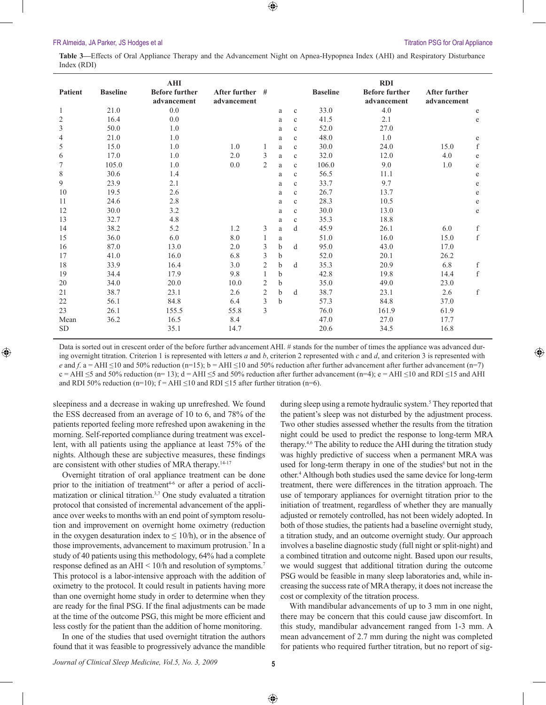⊕

⊕

**Table 3—**Effects of Oral Appliance Therapy and the Advancement Night on Apnea-Hypopnea Index (AHI) and Respiratory Disturbance Index (RDI)

|                  |                 | AHI                                  |                                |                |             |              |                 | <b>RDI</b>                           |                              |   |
|------------------|-----------------|--------------------------------------|--------------------------------|----------------|-------------|--------------|-----------------|--------------------------------------|------------------------------|---|
| <b>Patient</b>   | <b>Baseline</b> | <b>Before further</b><br>advancement | After further #<br>advancement |                |             |              | <b>Baseline</b> | <b>Before further</b><br>advancement | After further<br>advancement |   |
| 1                | 21.0            | 0.0                                  |                                |                | a           | $\mathbf{c}$ | 33.0            | 4.0                                  |                              | e |
| $\sqrt{2}$       | 16.4            | 0.0                                  |                                |                | a           | $\mathbf{c}$ | 41.5            | 2.1                                  |                              | e |
| $\overline{3}$   | 50.0            | 1.0                                  |                                |                | a           | $\mathbf{c}$ | 52.0            | 27.0                                 |                              |   |
| $\overline{4}$   | 21.0            | 1.0                                  |                                |                | a           | $\mathbf{c}$ | 48.0            | 1.0                                  |                              | e |
| $\mathfrak s$    | 15.0            | 1.0                                  | 1.0                            | 1              | a           | $\mathbf{c}$ | 30.0            | 24.0                                 | 15.0                         | f |
| 6                | 17.0            | 1.0                                  | 2.0                            | 3              | a           | $\mathbf{c}$ | 32.0            | 12.0                                 | 4.0                          | e |
| $\boldsymbol{7}$ | 105.0           | 1.0                                  | 0.0                            | $\overline{2}$ | a           | $\mathbf{c}$ | 106.0           | 9.0                                  | 1.0                          | e |
| $\,$ $\,$        | 30.6            | 1.4                                  |                                |                | a           | $\mathbf{c}$ | 56.5            | 11.1                                 |                              | e |
| 9                | 23.9            | 2.1                                  |                                |                | a           | $\mathbf{c}$ | 33.7            | 9.7                                  |                              | e |
| 10               | 19.5            | 2.6                                  |                                |                | a           | $\mathbf{c}$ | 26.7            | 13.7                                 |                              | e |
| 11               | 24.6            | 2.8                                  |                                |                | a           | $\mathbf c$  | 28.3            | 10.5                                 |                              | e |
| 12               | 30.0            | 3.2                                  |                                |                | a           | $\mathbf{c}$ | 30.0            | 13.0                                 |                              | e |
| 13               | 32.7            | 4.8                                  |                                |                | a           | $\mathbf{c}$ | 35.3            | 18.8                                 |                              |   |
| 14               | 38.2            | 5.2                                  | 1.2                            | 3              | a           | d            | 45.9            | 26.1                                 | 6.0                          | f |
| 15               | 36.0            | 6.0                                  | 8.0                            | $\mathbf{1}$   | a           |              | 51.0            | 16.0                                 | 15.0                         | f |
| 16               | 87.0            | 13.0                                 | 2.0                            | 3              | b           | d            | 95.0            | 43.0                                 | 17.0                         |   |
| 17               | 41.0            | 16.0                                 | 6.8                            | 3              | b           |              | 52.0            | 20.1                                 | 26.2                         |   |
| 18               | 33.9            | 16.4                                 | 3.0                            | $\mathfrak{2}$ | b           | d            | 35.3            | 20.9                                 | 6.8                          | f |
| 19               | 34.4            | 17.9                                 | 9.8                            | 1              | $\mathbf b$ |              | 42.8            | 19.8                                 | 14.4                         | f |
| 20               | 34.0            | 20.0                                 | 10.0                           | $\overline{2}$ | $\mathbf b$ |              | 35.0            | 49.0                                 | 23.0                         |   |
| 21               | 38.7            | 23.1                                 | 2.6                            | $\mathfrak{2}$ | $\mathbf b$ | d            | 38.7            | 23.1                                 | 2.6                          | f |
| 22               | 56.1            | 84.8                                 | 6.4                            | $\overline{3}$ | $\mathbf b$ |              | 57.3            | 84.8                                 | 37.0                         |   |
| 23               | 26.1            | 155.5                                | 55.8                           | $\mathfrak{Z}$ |             |              | 76.0            | 161.9                                | 61.9                         |   |
| Mean             | 36.2            | 16.5                                 | 8.4                            |                |             |              | 47.0            | 27.0                                 | 17.7                         |   |
| <b>SD</b>        |                 | 35.1                                 | 14.7                           |                |             |              | 20.6            | 34.5                                 | 16.8                         |   |

Data is sorted out in crescent order of the before further advancement AHI. # stands for the number of times the appliance was advanced during overnight titration. Criterion 1 is represented with letters *a* and *b*, criterion 2 represented with *c* and *d*, and criterion 3 is represented with *e* and *f*. a = AHI ≤10 and 50% reduction (n=15); b = AHI ≤10 and 50% reduction after further advancement after further advancement (n=7)  $c = AHI \leq 5$  and 50% reduction (n= 13); d = AHI  $\leq 5$  and 50% reduction after further advancement (n=4); e = AHI  $\leq 10$  and RDI  $\leq 15$  and AHI and RDI 50% reduction (n=10);  $f = AHI \le 10$  and RDI  $\le 15$  after further titration (n=6).

sleepiness and a decrease in waking up unrefreshed. We found the ESS decreased from an average of 10 to 6, and 78% of the patients reported feeling more refreshed upon awakening in the morning. Self-reported compliance during treatment was excellent, with all patients using the appliance at least 75% of the nights. Although these are subjective measures, these findings are consistent with other studies of MRA therapy.<sup>14-17</sup>

Overnight titration of oral appliance treatment can be done prior to the initiation of treatment<sup>4-6</sup> or after a period of acclimatization or clinical titration.3,7 One study evaluated a titration protocol that consisted of incremental advancement of the appliance over weeks to months with an end point of symptom resolution and improvement on overnight home oximetry (reduction in the oxygen desaturation index to  $\leq 10/h$ ), or in the absence of those improvements, advancement to maximum protrusion.<sup>7</sup> In a study of 40 patients using this methodology, 64% had a complete response defined as an AHI < 10/h and resolution of symptoms.<sup>7</sup> This protocol is a labor-intensive approach with the addition of oximetry to the protocol. It could result in patients having more than one overnight home study in order to determine when they are ready for the final PSG. If the final adjustments can be made at the time of the outcome PSG, this might be more efficient and less costly for the patient than the addition of home monitoring.

In one of the studies that used overnight titration the authors found that it was feasible to progressively advance the mandible

during sleep using a remote hydraulic system.<sup>5</sup> They reported that the patient's sleep was not disturbed by the adjustment process. Two other studies assessed whether the results from the titration night could be used to predict the response to long-term MRA therapy.4,6 The ability to reduce the AHI during the titration study was highly predictive of success when a permanent MRA was used for long-term therapy in one of the studies<sup>6</sup> but not in the other.4 Although both studies used the same device for long-term treatment, there were differences in the titration approach. The use of temporary appliances for overnight titration prior to the initiation of treatment, regardless of whether they are manually adjusted or remotely controlled, has not been widely adopted. In both of those studies, the patients had a baseline overnight study, a titration study, and an outcome overnight study. Our approach involves a baseline diagnostic study (full night or split-night) and a combined titration and outcome night. Based upon our results, we would suggest that additional titration during the outcome PSG would be feasible in many sleep laboratories and, while increasing the success rate of MRA therapy, it does not increase the cost or complexity of the titration process.

With mandibular advancements of up to 3 mm in one night, there may be concern that this could cause jaw discomfort. In this study, mandibular advancement ranged from 1-3 mm. A mean advancement of 2.7 mm during the night was completed for patients who required further titration, but no report of sig-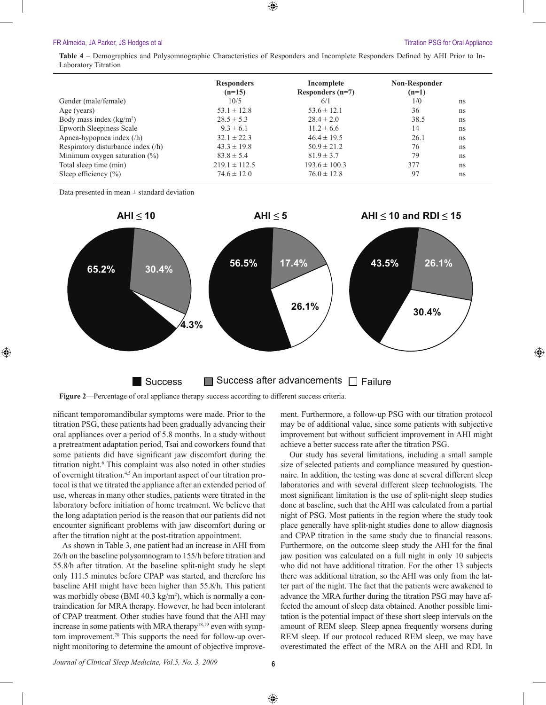⊕

**Table 4** – Demographics and Polysomnographic Characteristics of Responders and Incomplete Responders Defined by AHI Prior to In-Laboratory Titration

|                                    | <b>Responders</b><br>$(n=15)$ | Incomplete<br>Responders $(n=7)$ | <b>Non-Responder</b><br>$(n=1)$ |    |
|------------------------------------|-------------------------------|----------------------------------|---------------------------------|----|
| Gender (male/female)               | 10/5                          | 6/1                              | 1/0                             | ns |
| Age (years)                        | $53.1 \pm 12.8$               | $53.6 \pm 12.1$                  | 36                              | ns |
| Body mass index $(kg/m2)$          | $28.5 \pm 5.3$                | $28.4 \pm 2.0$                   | 38.5                            | ns |
| Epworth Sleepiness Scale           | $9.3 \pm 6.1$                 | $11.2 \pm 6.6$                   | 14                              | ns |
| Apnea-hypopnea index $(/h)$        | $32.1 \pm 22.3$               | $46.4 \pm 19.5$                  | 26.1                            | ns |
| Respiratory disturbance index (/h) | $43.3 \pm 19.8$               | $50.9 \pm 21.2$                  | 76                              | ns |
| Minimum oxygen saturation $(\%)$   | $83.8 \pm 5.4$                | $81.9 \pm 3.7$                   | 79                              | ns |
| Total sleep time (min)             | $219.1 \pm 112.5$             | $193.6 \pm 100.3$                | 377                             | ns |
| Sleep efficiency $(\% )$           | $74.6 \pm 12.0$               | $76.0 \pm 12.8$                  | 97                              | ns |

Data presented in mean  $\pm$  standard deviation

 $\textcircled{\scriptsize{+}}$ 



## $\blacksquare$  Success  $\blacksquare$  Success after advancements  $\square$  Failure

**Figure 2**—Percentage of oral appliance therapy success according to different success criteria.

nificant temporomandibular symptoms were made. Prior to the titration PSG, these patients had been gradually advancing their oral appliances over a period of 5.8 months. In a study without a pretreatment adaptation period, Tsai and coworkers found that some patients did have significant jaw discomfort during the titration night.<sup>6</sup> This complaint was also noted in other studies of overnight titration.4,5 An important aspect of our titration protocol is that we titrated the appliance after an extended period of use, whereas in many other studies, patients were titrated in the laboratory before initiation of home treatment. We believe that the long adaptation period is the reason that our patients did not encounter significant problems with jaw discomfort during or after the titration night at the post-titration appointment.

As shown in Table 3, one patient had an increase in AHI from 26/h on the baseline polysomnogram to 155/h before titration and 55.8/h after titration. At the baseline split-night study he slept only 111.5 minutes before CPAP was started, and therefore his baseline AHI might have been higher than 55.8/h. This patient was morbidly obese (BMI 40.3  $\text{kg/m}^2$ ), which is normally a contraindication for MRA therapy. However, he had been intolerant of CPAP treatment. Other studies have found that the AHI may increase in some patients with MRA therapy<sup>18,19</sup> even with symptom improvement.<sup>20</sup> This supports the need for follow-up overnight monitoring to determine the amount of objective improvement. Furthermore, a follow-up PSG with our titration protocol may be of additional value, since some patients with subjective improvement but without sufficient improvement in AHI might achieve a better success rate after the titration PSG.

Our study has several limitations, including a small sample size of selected patients and compliance measured by questionnaire. In addition, the testing was done at several different sleep laboratories and with several different sleep technologists. The most significant limitation is the use of split-night sleep studies done at baseline, such that the AHI was calculated from a partial night of PSG. Most patients in the region where the study took place generally have split-night studies done to allow diagnosis and CPAP titration in the same study due to financial reasons. Furthermore, on the outcome sleep study the AHI for the final jaw position was calculated on a full night in only 10 subjects who did not have additional titration. For the other 13 subjects there was additional titration, so the AHI was only from the latter part of the night. The fact that the patients were awakened to advance the MRA further during the titration PSG may have affected the amount of sleep data obtained. Another possible limitation is the potential impact of these short sleep intervals on the amount of REM sleep. Sleep apnea frequently worsens during REM sleep. If our protocol reduced REM sleep, we may have overestimated the effect of the MRA on the AHI and RDI. In

 $\bigoplus$